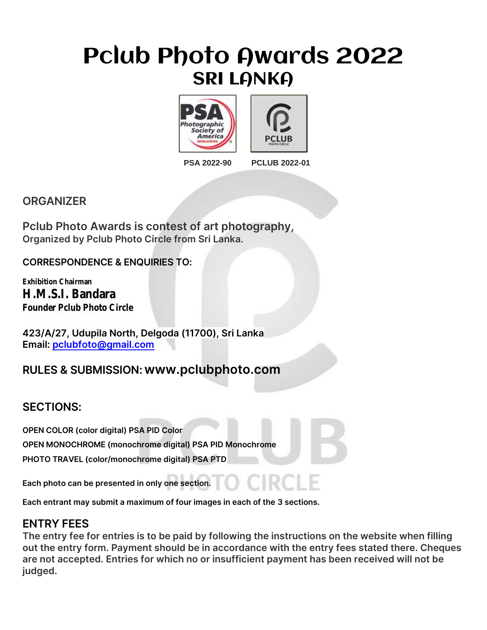## Pclub Photo Awards 2022 **SRI LANKA**





#### **PSA 2022-90 PCLUB 2022-01**

#### **ORGANIZER**

**Pclub Photo Awards is contest of art photography, Organized by Pclub Photo Circle from Sri Lanka.**

#### **CORRESPONDENCE & ENQUIRIES TO:**

**Exhibition Chairman H.M.S.I. Bandara Founder Pclub Photo Circle** 

**423/A/27, Udupila North, Delgoda (11700), Sri Lanka Email: [pclubfoto@gmail.com](mailto:pclubfoto@gmail.com)**

### **RULES & SUBMISSION: www.pclubphoto.com**

#### **SECTIONS:**

**OPEN COLOR (color digital) PSA PID Color**

**OPEN MONOCHROME (monochrome digital) PSA PID Monochrome**

**PHOTO TRAVEL (color/monochrome digital) PSA PTD**

**Each photo can be presented in only one section.**

**Each entrant may submit a maximum of four images in each of the 3 sections.**

#### **ENTRY FEES**

**The entry fee for entries is to be paid by following the instructions on the website when filling out the entry form. Payment should be in accordance with the entry fees stated there. Cheques are not accepted. Entries for which no or insufficient payment has been received will not be judged.**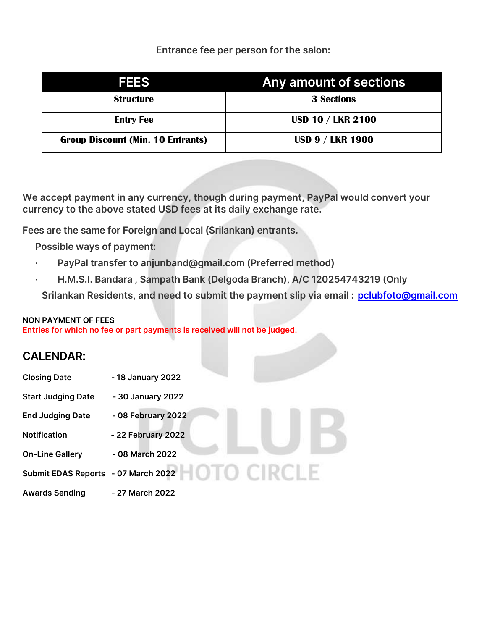#### **Entrance fee per person for the salon:**

| <b>FEES</b>                              | Any amount of sections   |
|------------------------------------------|--------------------------|
| <b>Structure</b>                         | <b>3 Sections</b>        |
| <b>Entry Fee</b>                         | <b>USD 10 / LKR 2100</b> |
| <b>Group Discount (Min. 10 Entrants)</b> | <b>USD 9 / LKR 1900</b>  |

**We accept payment in any currency, though during payment, PayPal would convert your currency to the above stated USD fees at its daily exchange rate.**

**Fees are the same for Foreign and Local (Srilankan) entrants.**

**Possible ways of payment:**

- **· PayPal transfer to anjunband@gmail.com (Preferred method)**
- **· H.M.S.I. Bandara , Sampath Bank (Delgoda Branch), A/C 120254743219 (Only**

**Srilankan Residents, and need to submit the payment slip via email : [pclubfoto@gmail.com](mailto:pclubfoto@gmail.com)**

#### **NON PAYMENT OF FEES**

**Entries for which no fee or part payments is received will not be judged.**

#### **CALENDAR:**

| <b>Closing Date</b>                 | - 18 January 2022  |  |  |
|-------------------------------------|--------------------|--|--|
| <b>Start Judging Date</b>           | - 30 January 2022  |  |  |
| <b>End Judging Date</b>             | - 08 February 2022 |  |  |
| <b>Notification</b>                 | - 22 February 2022 |  |  |
| <b>On-Line Gallery</b>              | - 08 March 2022    |  |  |
| Submit EDAS Reports - 07 March 2022 |                    |  |  |
| <b>Awards Sending</b>               | - 27 March 2022    |  |  |
|                                     |                    |  |  |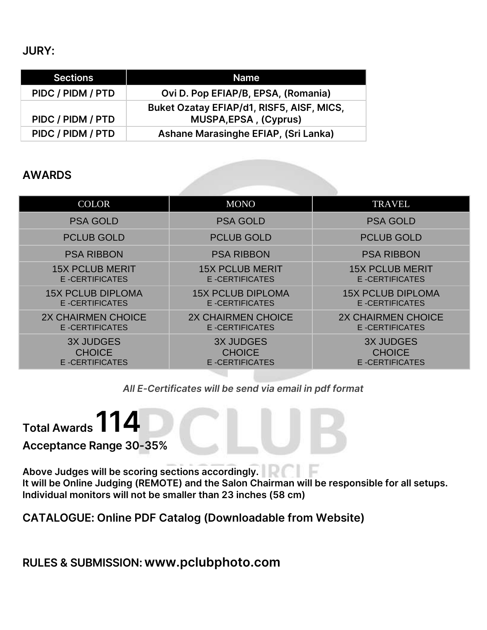**JURY:**

| <b>Sections</b>   | <b>Name</b>                                                        |  |
|-------------------|--------------------------------------------------------------------|--|
| PIDC / PIDM / PTD | Ovi D. Pop EFIAP/B, EPSA, (Romania)                                |  |
| PIDC / PIDM / PTD | Buket Ozatay EFIAP/d1, RISF5, AISF, MICS,<br>MUSPA, EPSA, (Cyprus) |  |
| PIDC / PIDM / PTD | Ashane Marasinghe EFIAP, (Sri Lanka)                               |  |

#### **AWARDS**

| <b>COLOR</b>             | <b>MONO</b>              | <b>TRAVEL</b>            |
|--------------------------|--------------------------|--------------------------|
| <b>PSA GOLD</b>          | <b>PSA GOLD</b>          | <b>PSA GOLD</b>          |
| <b>PCLUB GOLD</b>        | <b>PCLUB GOLD</b>        | <b>PCLUB GOLD</b>        |
| <b>PSA RIBBON</b>        | <b>PSA RIBBON</b>        | <b>PSA RIBBON</b>        |
| <b>15X PCLUB MERIT</b>   | <b>15X PCLUB MERIT</b>   | <b>15X PCLUB MERIT</b>   |
| E-CERTIFICATES           | E-CERTIFICATES           | E-CERTIFICATES           |
| <b>15X PCLUB DIPLOMA</b> | <b>15X PCLUB DIPLOMA</b> | <b>15X PCLUB DIPLOMA</b> |
| E-CERTIFICATES           | E-CERTIFICATES           | E-CERTIFICATES           |
| 2X CHAIRMEN CHOICE       | 2X CHAIRMEN CHOICE       | 2X CHAIRMEN CHOICE       |
| <b>E-CERTIFICATES</b>    | <b>E-CERTIFICATES</b>    | <b>E-CERTIFICATES</b>    |
| <b>3X JUDGES</b>         | <b>3X JUDGES</b>         | <b>3X JUDGES</b>         |
| <b>CHOICE</b>            | <b>CHOICE</b>            | <b>CHOICE</b>            |
| E-CERTIFICATES           | E-CERTIFICATES           | E-CERTIFICATES           |

#### *All E-Certificates will be send via email in pdf format*

**Total Awards 114**

**Acceptance Range 30-35%** 

**Above Judges will be scoring sections accordingly. It will be Online Judging (REMOTE) and the Salon Chairman will be responsible for all setups. Individual monitors will not be smaller than 23 inches (58 cm)**

**CATALOGUE: Online PDF Catalog (Downloadable from Website)**

**RULES & SUBMISSION: www.pclubphoto.com**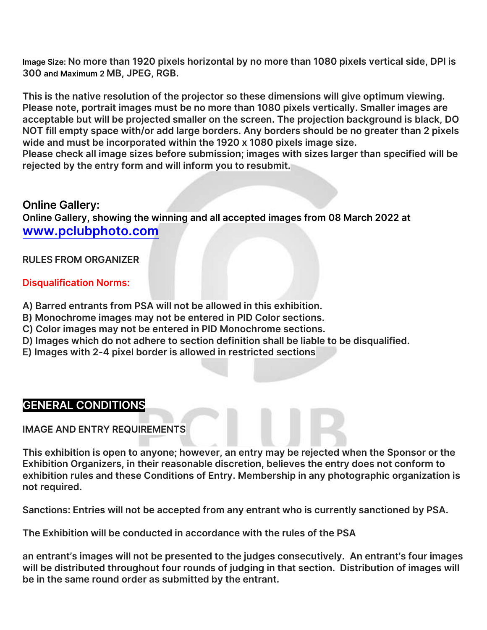**Image Size: No more than 1920 pixels horizontal by no more than 1080 pixels vertical side, DPI is 300 and Maximum 2 MB, JPEG, RGB.**

**This is the native resolution of the projector so these dimensions will give optimum viewing. Please note, portrait images must be no more than 1080 pixels vertically. Smaller images are acceptable but will be projected smaller on the screen. The projection background is black, DO NOT fill empty space with/or add large borders. Any borders should be no greater than 2 pixels wide and must be incorporated within the 1920 x 1080 pixels image size.**

**Please check all image sizes before submission; images with sizes larger than specified will be rejected by the entry form and will inform you to resubmit.**

#### **Online Gallery:**

**Online Gallery, showing the winning and all accepted images from 08 March 2022 at [www.pclubphoto.com](http://www.pclubphoto.com/)**

#### **RULES FROM ORGANIZER**

#### **Disqualification Norms:**

- **A) Barred entrants from PSA will not be allowed in this exhibition.**
- **B) Monochrome images may not be entered in PID Color sections.**
- **C) Color images may not be entered in PID Monochrome sections.**
- **D) Images which do not adhere to section definition shall be liable to be disqualified.**
- **E) Images with 2-4 pixel border is allowed in restricted sections**

#### **GENERAL CONDITIONS**

**IMAGE AND ENTRY REQUIREMENTS**

**This exhibition is open to anyone; however, an entry may be rejected when the Sponsor or the Exhibition Organizers, in their reasonable discretion, believes the entry does not conform to exhibition rules and these Conditions of Entry. Membership in any photographic organization is not required.**

**Sanctions: Entries will not be accepted from any entrant who is currently sanctioned by PSA.**

**The Exhibition will be conducted in accordance with the rules of the PSA**

**an entrant's images will not be presented to the judges consecutively. An entrant's four images will be distributed throughout four rounds of judging in that section. Distribution of images will be in the same round order as submitted by the entrant.**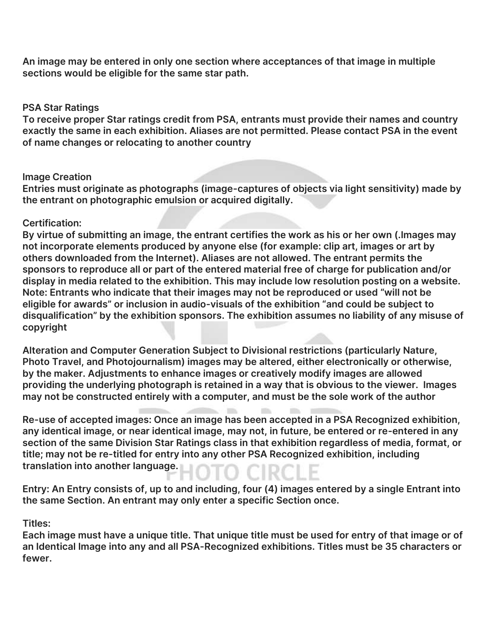**An image may be entered in only one section where acceptances of that image in multiple sections would be eligible for the same star path.**

#### **PSA Star Ratings**

**To receive proper Star ratings credit from PSA, entrants must provide their names and country exactly the same in each exhibition. Aliases are not permitted. Please contact PSA in the event of name changes or relocating to another country**

#### **Image Creation**

**Entries must originate as photographs (image-captures of objects via light sensitivity) made by the entrant on photographic emulsion or acquired digitally.**

#### **Certification:**

**By virtue of submitting an image, the entrant certifies the work as his or her own (.Images may not incorporate elements produced by anyone else (for example: clip art, images or art by others downloaded from the Internet). Aliases are not allowed. The entrant permits the sponsors to reproduce all or part of the entered material free of charge for publication and/or display in media related to the exhibition. This may include low resolution posting on a website. Note: Entrants who indicate that their images may not be reproduced or used "will not be eligible for awards" or inclusion in audio-visuals of the exhibition "and could be subject to disqualification" by the exhibition sponsors. The exhibition assumes no liability of any misuse of copyright**

**Alteration and Computer Generation Subject to Divisional restrictions (particularly Nature, Photo Travel, and Photojournalism) images may be altered, either electronically or otherwise, by the maker. Adjustments to enhance images or creatively modify images are allowed providing the underlying photograph is retained in a way that is obvious to the viewer. Images may not be constructed entirely with a computer, and must be the sole work of the author**

**Re-use of accepted images: Once an image has been accepted in a PSA Recognized exhibition, any identical image, or near identical image, may not, in future, be entered or re-entered in any section of the same Division Star Ratings class in that exhibition regardless of media, format, or title; may not be re-titled for entry into any other PSA Recognized exhibition, including translation into another language.**

**Entry: An Entry consists of, up to and including, four (4) images entered by a single Entrant into the same Section. An entrant may only enter a specific Section once.**

#### **Titles:**

**Each image must have a unique title. That unique title must be used for entry of that image or of an Identical Image into any and all PSA-Recognized exhibitions. Titles must be 35 characters or fewer.**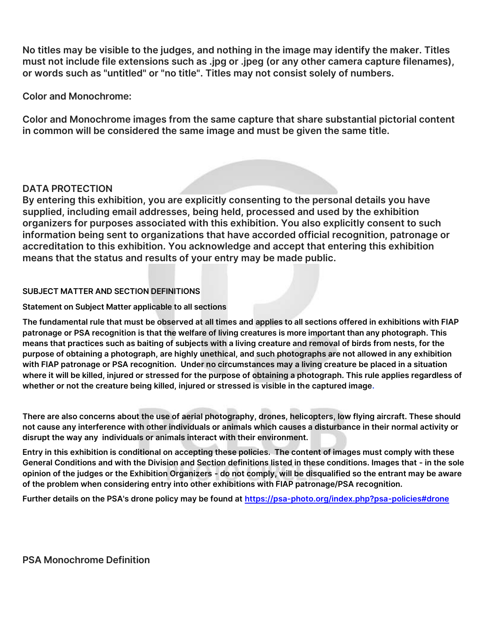**No titles may be visible to the judges, and nothing in the image may identify the maker. Titles must not include file extensions such as .jpg or .jpeg (or any other camera capture filenames), or words such as "untitled" or "no title". Titles may not consist solely of numbers.**

**Color and Monochrome:**

**Color and Monochrome images from the same capture that share substantial pictorial content in common will be considered the same image and must be given the same title.**

#### **DATA PROTECTION**

**By entering this exhibition, you are explicitly consenting to the personal details you have supplied, including email addresses, being held, processed and used by the exhibition organizers for purposes associated with this exhibition. You also explicitly consent to such information being sent to organizations that have accorded official recognition, patronage or accreditation to this exhibition. You acknowledge and accept that entering this exhibition means that the status and results of your entry may be made public.**

#### **SUBJECT MATTER AND SECTION DEFINITIONS**

#### **Statement on Subject Matter applicable to all sections**

**The fundamental rule that must be observed at all times and applies to all sections offered in exhibitions with FIAP patronage or PSA recognition is that the welfare of living creatures is more important than any photograph. This means that practices such as baiting of subjects with a living creature and removal of birds from nests, for the purpose of obtaining a photograph, are highly unethical, and such photographs are not allowed in any exhibition with FIAP patronage or PSA recognition. Under no circumstances may a living creature be placed in a situation where it will be killed, injured or stressed for the purpose of obtaining a photograph. This rule applies regardless of whether or not the creature being killed, injured or stressed is visible in the captured image.**

**There are also concerns about the use of aerial photography, drones, helicopters, low flying aircraft. These should not cause any interference with other individuals or animals which causes a disturbance in their normal activity or disrupt the way any individuals or animals interact with their environment.** 

**Entry in this exhibition is conditional on accepting these policies. The content of images must comply with these General Conditions and with the Division and Section definitions listed in these conditions. Images that - in the sole opinion of the judges or the Exhibition Organizers - do not comply, will be disqualified so the entrant may be aware of the problem when considering entry into other exhibitions with FIAP patronage/PSA recognition.**

**Further details on the PSA's drone policy may be found at [https://psa-photo.org/index.php?psa-policies#drone](https://psa-photo.org/index.php?psa-policies%23drone)**

**PSA Monochrome Definition**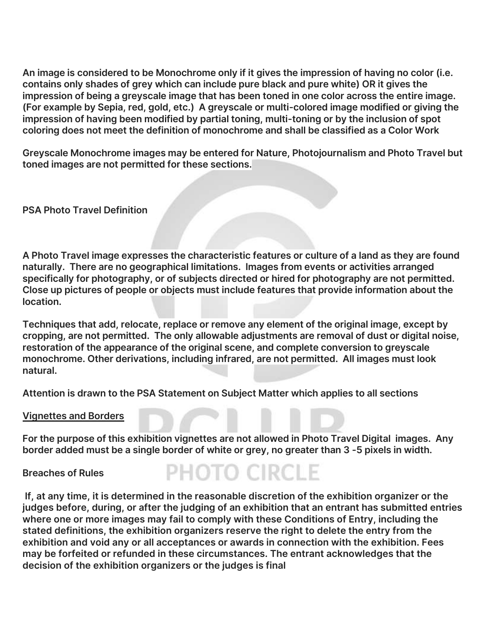**An image is considered to be Monochrome only if it gives the impression of having no color (i.e. contains only shades of grey which can include pure black and pure white) OR it gives the impression of being a greyscale image that has been toned in one color across the entire image. (For example by Sepia, red, gold, etc.) A greyscale or multi-colored image modified or giving the impression of having been modified by partial toning, multi-toning or by the inclusion of spot coloring does not meet the definition of monochrome and shall be classified as a Color Work**

**Greyscale Monochrome images may be entered for Nature, Photojournalism and Photo Travel but toned images are not permitted for these sections.**

**PSA Photo Travel Definition**

**A Photo Travel image expresses the characteristic features or culture of a land as they are found naturally. There are no geographical limitations. Images from events or activities arranged specifically for photography, or of subjects directed or hired for photography are not permitted. Close up pictures of people or objects must include features that provide information about the location.**

**Techniques that add, relocate, replace or remove any element of the original image, except by cropping, are not permitted. The only allowable adjustments are removal of dust or digital noise, restoration of the appearance of the original scene, and complete conversion to greyscale monochrome. Other derivations, including infrared, are not permitted. All images must look natural.**

**Attention is drawn to the PSA Statement on Subject Matter which applies to all sections**

**Vignettes and Borders**

**For the purpose of this exhibition vignettes are not allowed in Photo Travel Digital images. Any border added must be a single border of white or grey, no greater than 3 -5 pixels in width.** 

**Breaches of Rules**

PHOTO CIRCLE

**If, at any time, it is determined in the reasonable discretion of the exhibition organizer or the judges before, during, or after the judging of an exhibition that an entrant has submitted entries where one or more images may fail to comply with these Conditions of Entry, including the stated definitions, the exhibition organizers reserve the right to delete the entry from the exhibition and void any or all acceptances or awards in connection with the exhibition. Fees may be forfeited or refunded in these circumstances. The entrant acknowledges that the decision of the exhibition organizers or the judges is final**